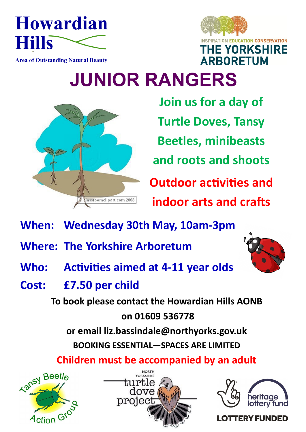



## **Area of Outstanding Natural Beauty**

## **JUNIOR RANGERS**



**Join us for a day of Turtle Doves, Tansy Beetles, minibeasts and roots and shoots Outdoor activities and indoor arts and crafts**

- **When: Wednesday 30th May, 10am-3pm**
- **Where: The Yorkshire Arboretum**
- **Who: Activities aimed at 4-11 year olds**
- **Cost: £7.50 per child**

**To book please contact the Howardian Hills AONB on 01609 536778** 

**or email liz.bassindale@northyorks.gov.uk**

**BOOKING ESSENTIAL—SPACES ARE LIMITED**







## **LOTTERY FUNDED**